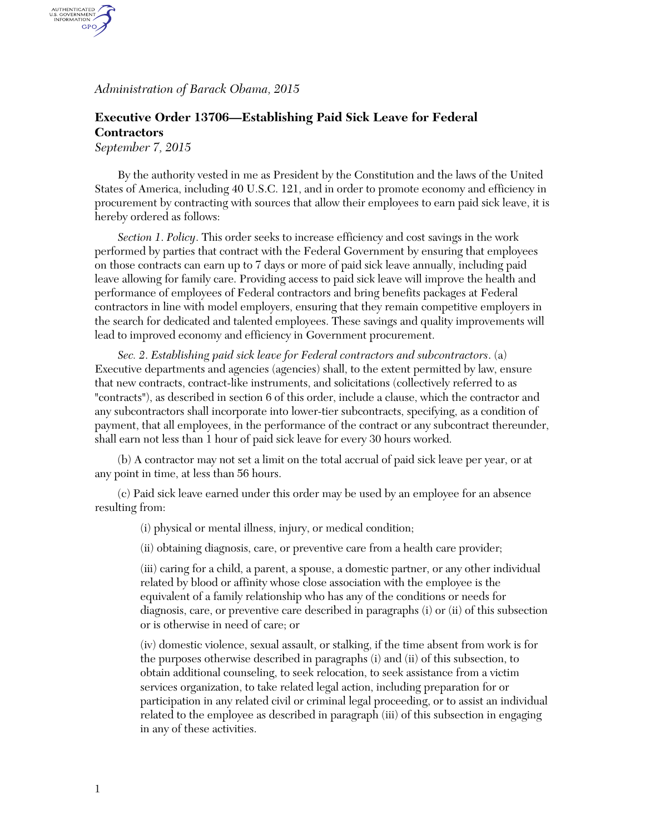*Administration of Barack Obama, 2015*

## **Executive Order 13706—Establishing Paid Sick Leave for Federal Contractors**

*September 7, 2015*

AUTHENTICATED<br>U.S. GOVERNMENT<br>INFORMATION GPO.

> By the authority vested in me as President by the Constitution and the laws of the United States of America, including 40 U.S.C. 121, and in order to promote economy and efficiency in procurement by contracting with sources that allow their employees to earn paid sick leave, it is hereby ordered as follows:

*Section 1*. *Policy*. This order seeks to increase efficiency and cost savings in the work performed by parties that contract with the Federal Government by ensuring that employees on those contracts can earn up to 7 days or more of paid sick leave annually, including paid leave allowing for family care. Providing access to paid sick leave will improve the health and performance of employees of Federal contractors and bring benefits packages at Federal contractors in line with model employers, ensuring that they remain competitive employers in the search for dedicated and talented employees. These savings and quality improvements will lead to improved economy and efficiency in Government procurement.

*Sec. 2*. *Establishing paid sick leave for Federal contractors and subcontractors*. (a) Executive departments and agencies (agencies) shall, to the extent permitted by law, ensure that new contracts, contract-like instruments, and solicitations (collectively referred to as "contracts"), as described in section 6 of this order, include a clause, which the contractor and any subcontractors shall incorporate into lower-tier subcontracts, specifying, as a condition of payment, that all employees, in the performance of the contract or any subcontract thereunder, shall earn not less than 1 hour of paid sick leave for every 30 hours worked.

(b) A contractor may not set a limit on the total accrual of paid sick leave per year, or at any point in time, at less than 56 hours.

(c) Paid sick leave earned under this order may be used by an employee for an absence resulting from:

(i) physical or mental illness, injury, or medical condition;

(ii) obtaining diagnosis, care, or preventive care from a health care provider;

(iii) caring for a child, a parent, a spouse, a domestic partner, or any other individual related by blood or affinity whose close association with the employee is the equivalent of a family relationship who has any of the conditions or needs for diagnosis, care, or preventive care described in paragraphs (i) or (ii) of this subsection or is otherwise in need of care; or

(iv) domestic violence, sexual assault, or stalking, if the time absent from work is for the purposes otherwise described in paragraphs (i) and (ii) of this subsection, to obtain additional counseling, to seek relocation, to seek assistance from a victim services organization, to take related legal action, including preparation for or participation in any related civil or criminal legal proceeding, or to assist an individual related to the employee as described in paragraph (iii) of this subsection in engaging in any of these activities.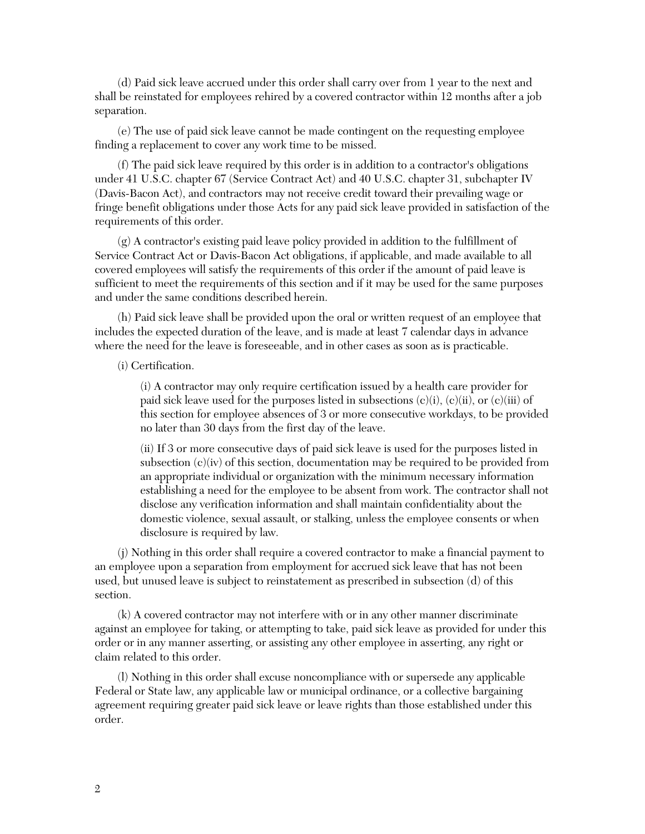(d) Paid sick leave accrued under this order shall carry over from 1 year to the next and shall be reinstated for employees rehired by a covered contractor within 12 months after a job separation.

(e) The use of paid sick leave cannot be made contingent on the requesting employee finding a replacement to cover any work time to be missed.

(f) The paid sick leave required by this order is in addition to a contractor's obligations under 41 U.S.C. chapter 67 (Service Contract Act) and 40 U.S.C. chapter 31, subchapter IV (Davis-Bacon Act), and contractors may not receive credit toward their prevailing wage or fringe benefit obligations under those Acts for any paid sick leave provided in satisfaction of the requirements of this order.

(g) A contractor's existing paid leave policy provided in addition to the fulfillment of Service Contract Act or Davis-Bacon Act obligations, if applicable, and made available to all covered employees will satisfy the requirements of this order if the amount of paid leave is sufficient to meet the requirements of this section and if it may be used for the same purposes and under the same conditions described herein.

(h) Paid sick leave shall be provided upon the oral or written request of an employee that includes the expected duration of the leave, and is made at least 7 calendar days in advance where the need for the leave is foreseeable, and in other cases as soon as is practicable.

(i) Certification.

(i) A contractor may only require certification issued by a health care provider for paid sick leave used for the purposes listed in subsections  $(c)(i), (c)(ii),$  or  $(c)(iii)$  of this section for employee absences of 3 or more consecutive workdays, to be provided no later than 30 days from the first day of the leave.

(ii) If 3 or more consecutive days of paid sick leave is used for the purposes listed in subsection (c)(iv) of this section, documentation may be required to be provided from an appropriate individual or organization with the minimum necessary information establishing a need for the employee to be absent from work. The contractor shall not disclose any verification information and shall maintain confidentiality about the domestic violence, sexual assault, or stalking, unless the employee consents or when disclosure is required by law.

(j) Nothing in this order shall require a covered contractor to make a financial payment to an employee upon a separation from employment for accrued sick leave that has not been used, but unused leave is subject to reinstatement as prescribed in subsection (d) of this section.

(k) A covered contractor may not interfere with or in any other manner discriminate against an employee for taking, or attempting to take, paid sick leave as provided for under this order or in any manner asserting, or assisting any other employee in asserting, any right or claim related to this order.

(l) Nothing in this order shall excuse noncompliance with or supersede any applicable Federal or State law, any applicable law or municipal ordinance, or a collective bargaining agreement requiring greater paid sick leave or leave rights than those established under this order.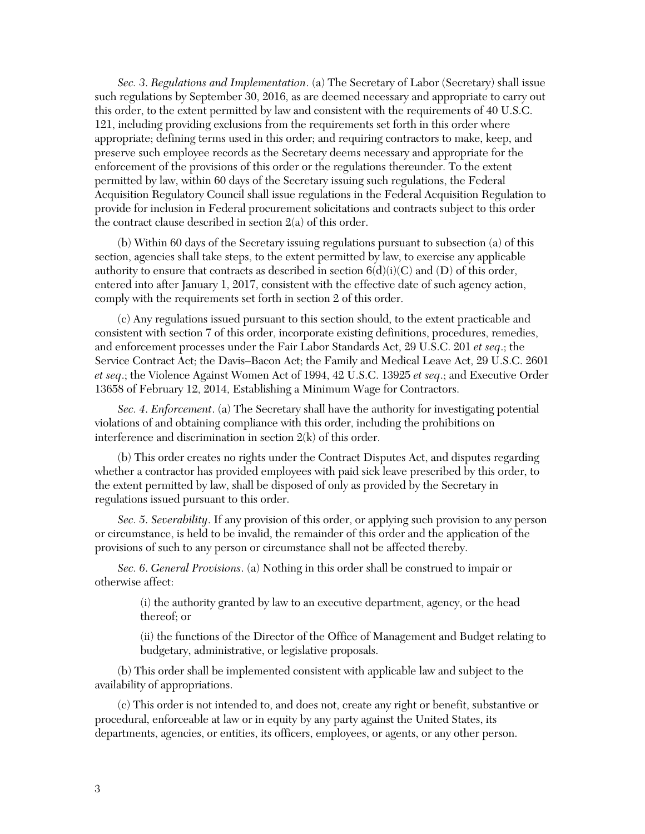*Sec. 3*. *Regulations and Implementation*. (a) The Secretary of Labor (Secretary) shall issue such regulations by September 30, 2016, as are deemed necessary and appropriate to carry out this order, to the extent permitted by law and consistent with the requirements of 40 U.S.C. 121, including providing exclusions from the requirements set forth in this order where appropriate; defining terms used in this order; and requiring contractors to make, keep, and preserve such employee records as the Secretary deems necessary and appropriate for the enforcement of the provisions of this order or the regulations thereunder. To the extent permitted by law, within 60 days of the Secretary issuing such regulations, the Federal Acquisition Regulatory Council shall issue regulations in the Federal Acquisition Regulation to provide for inclusion in Federal procurement solicitations and contracts subject to this order the contract clause described in section 2(a) of this order.

(b) Within 60 days of the Secretary issuing regulations pursuant to subsection (a) of this section, agencies shall take steps, to the extent permitted by law, to exercise any applicable authority to ensure that contracts as described in section  $6(d)(i)(C)$  and  $(D)$  of this order, entered into after January 1, 2017, consistent with the effective date of such agency action, comply with the requirements set forth in section 2 of this order.

(c) Any regulations issued pursuant to this section should, to the extent practicable and consistent with section 7 of this order, incorporate existing definitions, procedures, remedies, and enforcement processes under the Fair Labor Standards Act, 29 U.S.C. 201 *et seq*.; the Service Contract Act; the Davis–Bacon Act; the Family and Medical Leave Act, 29 U.S.C. 2601 *et seq*.; the Violence Against Women Act of 1994, 42 U.S.C. 13925 *et seq*.; and Executive Order 13658 of February 12, 2014, Establishing a Minimum Wage for Contractors.

*Sec. 4*. *Enforcement*. (a) The Secretary shall have the authority for investigating potential violations of and obtaining compliance with this order, including the prohibitions on interference and discrimination in section 2(k) of this order.

(b) This order creates no rights under the Contract Disputes Act, and disputes regarding whether a contractor has provided employees with paid sick leave prescribed by this order, to the extent permitted by law, shall be disposed of only as provided by the Secretary in regulations issued pursuant to this order.

*Sec. 5*. *Severability*. If any provision of this order, or applying such provision to any person or circumstance, is held to be invalid, the remainder of this order and the application of the provisions of such to any person or circumstance shall not be affected thereby.

*Sec. 6*. *General Provisions*. (a) Nothing in this order shall be construed to impair or otherwise affect:

> (i) the authority granted by law to an executive department, agency, or the head thereof; or

(ii) the functions of the Director of the Office of Management and Budget relating to budgetary, administrative, or legislative proposals.

(b) This order shall be implemented consistent with applicable law and subject to the availability of appropriations.

(c) This order is not intended to, and does not, create any right or benefit, substantive or procedural, enforceable at law or in equity by any party against the United States, its departments, agencies, or entities, its officers, employees, or agents, or any other person.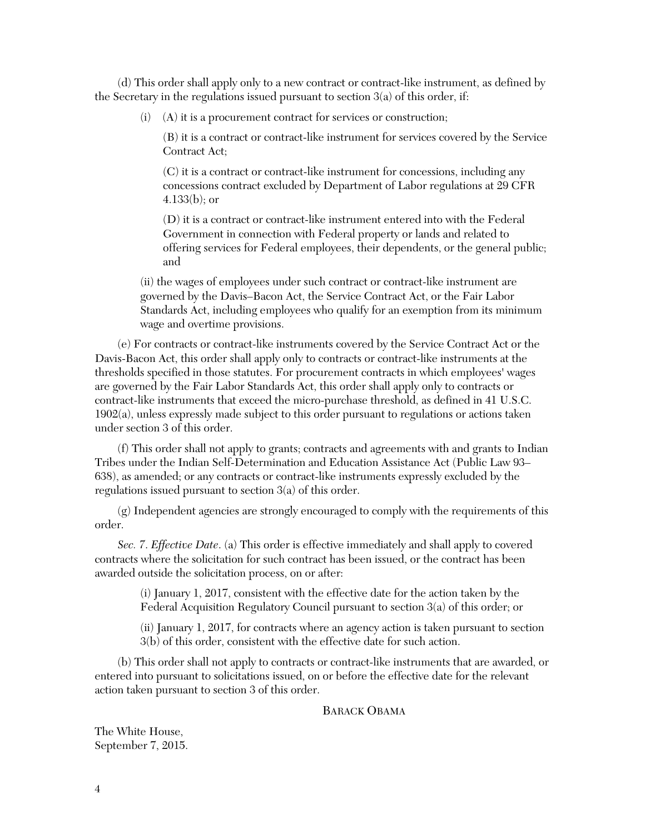(d) This order shall apply only to a new contract or contract-like instrument, as defined by the Secretary in the regulations issued pursuant to section 3(a) of this order, if:

(i) (A) it is a procurement contract for services or construction;

(B) it is a contract or contract-like instrument for services covered by the Service Contract Act;

(C) it is a contract or contract-like instrument for concessions, including any concessions contract excluded by Department of Labor regulations at 29 CFR 4.133(b); or

(D) it is a contract or contract-like instrument entered into with the Federal Government in connection with Federal property or lands and related to offering services for Federal employees, their dependents, or the general public; and

(ii) the wages of employees under such contract or contract-like instrument are governed by the Davis–Bacon Act, the Service Contract Act, or the Fair Labor Standards Act, including employees who qualify for an exemption from its minimum wage and overtime provisions.

(e) For contracts or contract-like instruments covered by the Service Contract Act or the Davis-Bacon Act, this order shall apply only to contracts or contract-like instruments at the thresholds specified in those statutes. For procurement contracts in which employees' wages are governed by the Fair Labor Standards Act, this order shall apply only to contracts or contract-like instruments that exceed the micro-purchase threshold, as defined in 41 U.S.C. 1902(a), unless expressly made subject to this order pursuant to regulations or actions taken under section 3 of this order.

(f) This order shall not apply to grants; contracts and agreements with and grants to Indian Tribes under the Indian Self-Determination and Education Assistance Act (Public Law 93– 638), as amended; or any contracts or contract-like instruments expressly excluded by the regulations issued pursuant to section 3(a) of this order.

(g) Independent agencies are strongly encouraged to comply with the requirements of this order.

*Sec. 7*. *Effective Date*. (a) This order is effective immediately and shall apply to covered contracts where the solicitation for such contract has been issued, or the contract has been awarded outside the solicitation process, on or after:

> (i) January 1, 2017, consistent with the effective date for the action taken by the Federal Acquisition Regulatory Council pursuant to section 3(a) of this order; or

(ii) January 1, 2017, for contracts where an agency action is taken pursuant to section 3(b) of this order, consistent with the effective date for such action.

(b) This order shall not apply to contracts or contract-like instruments that are awarded, or entered into pursuant to solicitations issued, on or before the effective date for the relevant action taken pursuant to section 3 of this order.

## BARACK OBAMA

The White House, September 7, 2015.